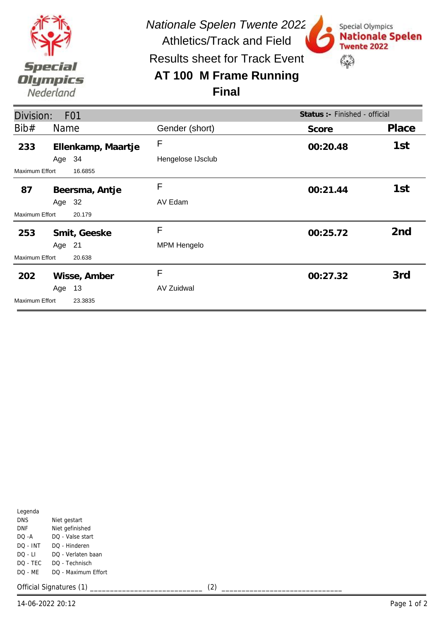

*Nationale Spelen Twente 2022*

Special Olympics

Twente 2022

€

**Nationale Spelen** 

Athletics/Track and Field Results sheet for Track Event

## **AT 100 M Frame Running Final**



| Legenda    |                     |
|------------|---------------------|
| <b>DNS</b> | Niet gestart        |
| DNF        | Niet gefinished     |
| DO -A      | DO - Valse start    |
| DO - INT   | DO - Hinderen       |
| DO - LI    | DO - Verlaten baan  |
| DO - TEC   | DO - Technisch      |
| DO - MF    | DO - Maximum Effort |
|            |                     |

Official Signatures (1) \_\_\_\_\_\_\_\_\_\_\_\_\_\_\_\_\_\_\_\_\_\_\_\_\_\_\_\_ (2) \_\_\_\_\_\_\_\_\_\_\_\_\_\_\_\_\_\_\_\_\_\_\_\_\_\_\_\_\_\_